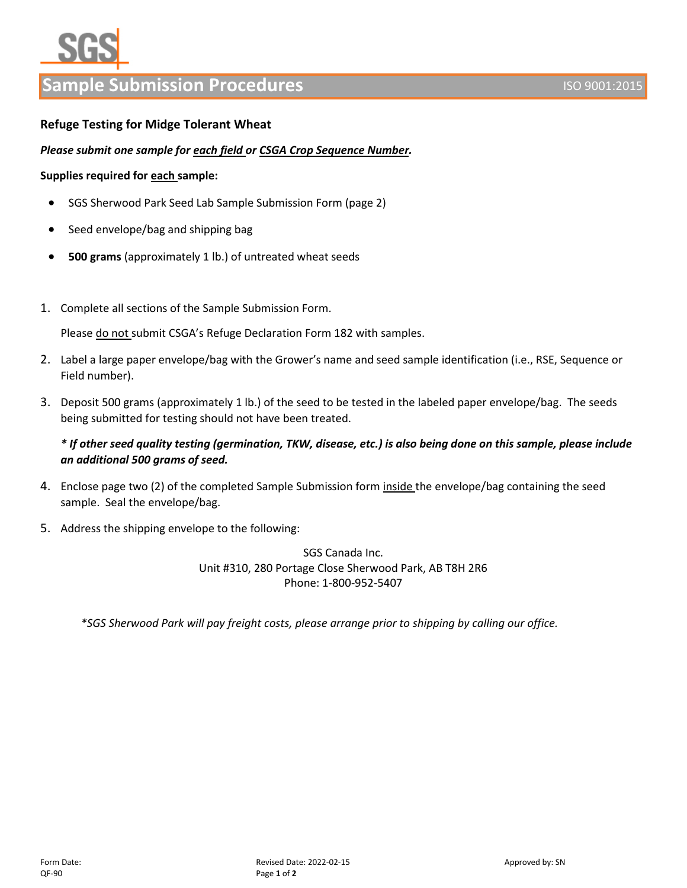# **Ple Submission Procedures ISO 9001:2015** ISO 9001:2015

# **Refuge Testing for Midge Tolerant Wheat**

### *Please submit one sample for each field or CSGA Crop Sequence Number.*

#### **Supplies required for each sample:**

- SGS Sherwood Park Seed Lab Sample Submission Form (page 2)
- Seed envelope/bag and shipping bag
- **500 grams** (approximately 1 lb.) of untreated wheat seeds
- 1. Complete all sections of the Sample Submission Form.

Please do not submit CSGA's Refuge Declaration Form 182 with samples.

- 2. Label a large paper envelope/bag with the Grower's name and seed sample identification (i.e., RSE, Sequence or Field number).
- 3. Deposit 500 grams (approximately 1 lb.) of the seed to be tested in the labeled paper envelope/bag. The seeds being submitted for testing should not have been treated.

# *\* If other seed quality testing (germination, TKW, disease, etc.) is also being done on this sample, please include an additional 500 grams of seed.*

- 4. Enclose page two (2) of the completed Sample Submission form inside the envelope/bag containing the seed sample. Seal the envelope/bag.
- 5. Address the shipping envelope to the following:

SGS Canada Inc. Unit #310, 280 Portage Close Sherwood Park, AB T8H 2R6 Phone: 1-800-952-5407

*\*SGS Sherwood Park will pay freight costs, please arrange prior to shipping by calling our office.*